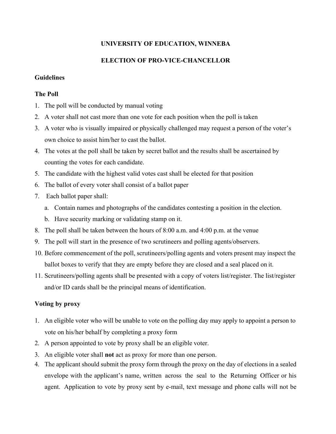# **UNIVERSITY OF EDUCATION, WINNEBA**

# **ELECTION OF PRO-VICE-CHANCELLOR**

### **Guidelines**

## **The Poll**

- 1. The poll will be conducted by manual voting
- 2. A voter shall not cast more than one vote for each position when the poll is taken
- 3. A voter who is visually impaired or physically challenged may request a person of the voter's own choice to assist him/her to cast the ballot.
- 4. The votes at the poll shall be taken by secret ballot and the results shall be ascertained by counting the votes for each candidate.
- 5. The candidate with the highest valid votes cast shall be elected for that position
- 6. The ballot of every voter shall consist of a ballot paper
- 7. Each ballot paper shall:
	- a. Contain names and photographs of the candidates contesting a position in the election.
	- b. Have security marking or validating stamp on it.
- 8. The poll shall be taken between the hours of 8:00 a.m. and 4:00 p.m. at the venue
- 9. The poll will start in the presence of two scrutineers and polling agents/observers.
- 10. Before commencement of the poll, scrutineers/polling agents and voters present may inspect the ballot boxes to verify that they are empty before they are closed and a seal placed on it.
- 11. Scrutineers/polling agents shall be presented with a copy of voters list/register. The list/register and/or ID cards shall be the principal means of identification.

## **Voting by proxy**

- 1. An eligible voter who will be unable to vote on the polling day may apply to appoint a person to vote on his/her behalf by completing a proxy form
- 2. A person appointed to vote by proxy shall be an eligible voter.
- 3. An eligible voter shall **not** act as proxy for more than one person.
- 4. The applicant should submit the proxy form through the proxy on the day of elections in a sealed envelope with the applicant's name, written across the seal to the Returning Officer or his agent. Application to vote by proxy sent by e-mail, text message and phone calls will not be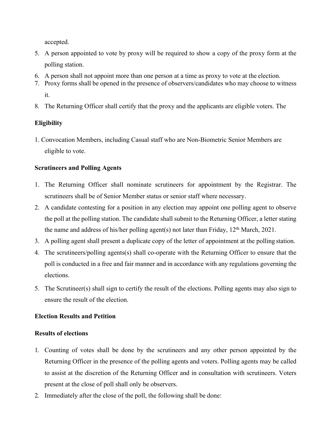accepted.

- 5. A person appointed to vote by proxy will be required to show a copy of the proxy form at the polling station.
- 6. A person shall not appoint more than one person at a time as proxy to vote at the election.
- 7. Proxy forms shall be opened in the presence of observers/candidates who may choose to witness it.
- 8. The Returning Officer shall certify that the proxy and the applicants are eligible voters. The

# **Eligibility**

1. Convocation Members, including Casual staff who are Non-Biometric Senior Members are eligible to vote.

# **Scrutineers and Polling Agents**

- 1. The Returning Officer shall nominate scrutineers for appointment by the Registrar. The scrutineers shall be of Senior Member status or senior staff where necessary.
- 2. A candidate contesting for a position in any election may appoint one polling agent to observe the poll at the polling station. The candidate shall submit to the Returning Officer, a letter stating the name and address of his/her polling agent(s) not later than Friday,  $12<sup>th</sup>$  March, 2021.
- 3. A polling agent shall present a duplicate copy of the letter of appointment at the polling station.
- 4. The scrutineers/polling agents(s) shall co-operate with the Returning Officer to ensure that the poll is conducted in a free and fair manner and in accordance with any regulations governing the elections.
- 5. The Scrutineer(s) shall sign to certify the result of the elections. Polling agents may also sign to ensure the result of the election.

# **Election Results and Petition**

## **Results of elections**

- 1. Counting of votes shall be done by the scrutineers and any other person appointed by the Returning Officer in the presence of the polling agents and voters. Polling agents may be called to assist at the discretion of the Returning Officer and in consultation with scrutineers. Voters present at the close of poll shall only be observers.
- 2. Immediately after the close of the poll, the following shall be done: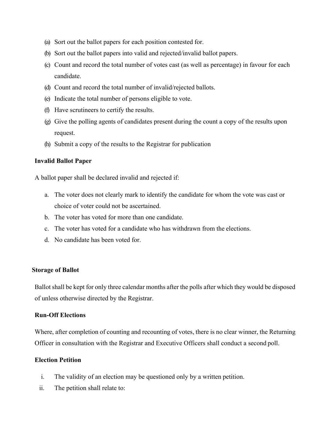- (a) Sort out the ballot papers for each position contested for.
- (b) Sort out the ballot papers into valid and rejected/invalid ballot papers.
- (c) Count and record the total number of votes cast (as well as percentage) in favour for each candidate.
- (d) Count and record the total number of invalid/rejected ballots.
- (e) Indicate the total number of persons eligible to vote.
- (f) Have scrutineers to certify the results.
- (g) Give the polling agents of candidates present during the count a copy of the results upon request.
- (h) Submit a copy of the results to the Registrar for publication

#### **Invalid Ballot Paper**

A ballot paper shall be declared invalid and rejected if:

- a. The voter does not clearly mark to identify the candidate for whom the vote was cast or choice of voter could not be ascertained.
- b. The voter has voted for more than one candidate.
- c. The voter has voted for a candidate who has withdrawn from the elections.
- d. No candidate has been voted for.

#### **Storage of Ballot**

Ballot shall be kept for only three calendar months after the polls after which they would be disposed of unless otherwise directed by the Registrar.

## **Run-Off Elections**

Where, after completion of counting and recounting of votes, there is no clear winner, the Returning Officer in consultation with the Registrar and Executive Officers shall conduct a second poll.

### **Election Petition**

- i. The validity of an election may be questioned only by a written petition.
- ii. The petition shall relate to: